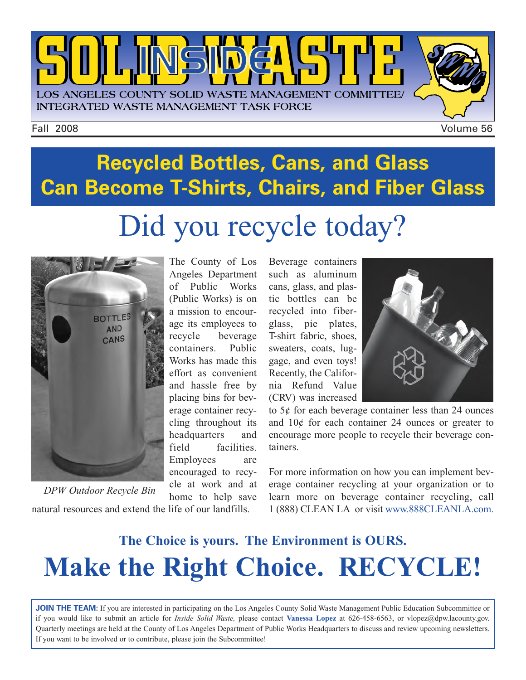

## **Recycled Bottles, Cans, and Glass Can Become T-Shirts, Chairs, and Fiber Glass** Did you recycle today?



natural resources and extend the life of our landfills. *DPW Outdoor Recycle Bin*

The County of Los Angeles Department of Public Works (Public Works) is on a mission to encourage its employees to recycle beverage containers. Public Works has made this effort as convenient and hassle free by placing bins for beverage container recycling throughout its headquarters and field facilities. Employees are encouraged to recycle at work and at home to help save

Beverage containers such as aluminum cans, glass, and plastic bottles can be recycled into fiberglass, pie plates, T-shirt fabric, shoes, sweaters, coats, luggage, and even toys! Recently, the California Refund Value (CRV) was increased



to 5¢ for each beverage container less than 24 ounces and 10¢ for each container 24 ounces or greater to encourage more people to recycle their beverage containers.

For more information on how you can implement beverage container recycling at your organization or to learn more on beverage container recycling, call 1 (888) CLEAN LA or visi[t www.888CLEANLA.com.](http://ladpw.org/epd/)

## **The Choice is yours. The Environment is OURS. Make the Right Choice. RECYCLE!**

**JOIN THE TEAM:** If you are interested in participating on the Los Angeles County Solid Waste Management Public Education Subcommittee or if you would like to submit an article for *Inside Solid Waste,* please contact **Vanessa Lopez** [at 626-458-6563, or vlopez@dpw.lacounty.gov.](malto://vlopez@dpw.lacounty.gov.) Quarterly meetings are held at the County of Los Angeles Department of Public Works Headquarters to discuss and review upcoming newsletters. If you want to be involved or to contribute, please join the Subcommittee!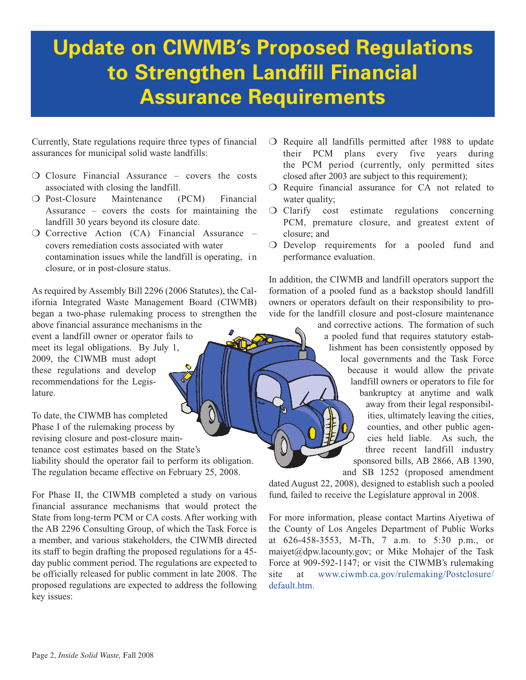## **Update on CIWMB's Proposed Regulations to Strengthen Landfill Financial Assurance Requirements**

Currently, State regulations require three types of financial assurances for municipal solid waste landfills:

- ❍ Closure Financial Assurance covers the costs associated with closing the landfill.
- ❍ Post-Closure Maintenance (PCM) Financial Assurance – covers the costs for maintaining the landfill 30 years beyond its closure date.
- ❍ Corrective Action (CA) Financial Assurance covers remediation costs associated with water contamination issues while the landfill is operating, in closure, or in post-closure status.

As required by Assembly Bill 2296 (2006 Statutes), the California Integrated Waste Management Board (CIWMB) began a two-phase rulemaking process to strengthen the

above financial assurance mechanisms in the event a landfill owner or operator fails to meet its legal obligations. By July 1, 2009, the CIWMB must adopt these regulations and develop recommendations for the Legislature.

To date, the CIWMB has completed Phase I of the rulemaking process by revising closure and post-closure maintenance cost estimates based on the State's liability should the operator fail to perform its obligation. The regulation became effective on February 25, 2008.

For Phase II, the CIWMB completed a study on various financial assurance mechanisms that would protect the State from long-term PCM or CA costs. After working with the AB 2296 Consulting Group, of which the Task Force is a member, and various stakeholders, the CIWMB directed its staff to begin drafting the proposed regulations for a 45 day public comment period. The regulations are expected to be officially released for public comment in late 2008. The proposed regulations are expected to address the following key issues:

- ❍ Require all landfills permitted after 1988 to update their PCM plans every five years during the PCM period (currently, only permitted sites closed after 2003 are subject to this requirement);
- ❍ Require financial assurance for CA not related to water quality;
- ❍ Clarify cost estimate regulations concerning PCM, premature closure, and greatest extent of closure; and
- ❍ Develop requirements for a pooled fund and performance evaluation.

In addition, the CIWMB and landfill operators support the formation of a pooled fund as a backstop should landfill owners or operators default on their responsibility to provide for the landfill closure and post-closure maintenance

> and corrective actions. The formation of such a pooled fund that requires statutory establishment has been consistently opposed by local governments and the Task Force because it would allow the private landfill owners or operators to file for bankruptcy at anytime and walk away from their legal responsibilities, ultimately leaving the cities, counties, and other public agencies held liable. As such, the three recent landfill industry sponsored bills, AB 2866, AB 1390, and SB 1252 (proposed amendment

dated August 22, 2008), designed to establish such a pooled fund, failed to receive the Legislature approval in 2008.

For more information, please contact Martins Aiyetiwa of the County of Los Angeles Department of Public Works at 626-458-3553, M-Th, 7 a.m. to 5:30 p.m., or maiyet@dpw.lacounty.gov; or Mike Mohajer of the Task Force at 909-592-1147; or visit the CIWMB's rulemaking [site at www.ciwmb.ca.gov/rulemaking/Postclosure/](http://www.ciwmb.ca.gov/rulemaking/Postclosure/default.htm) default.htm.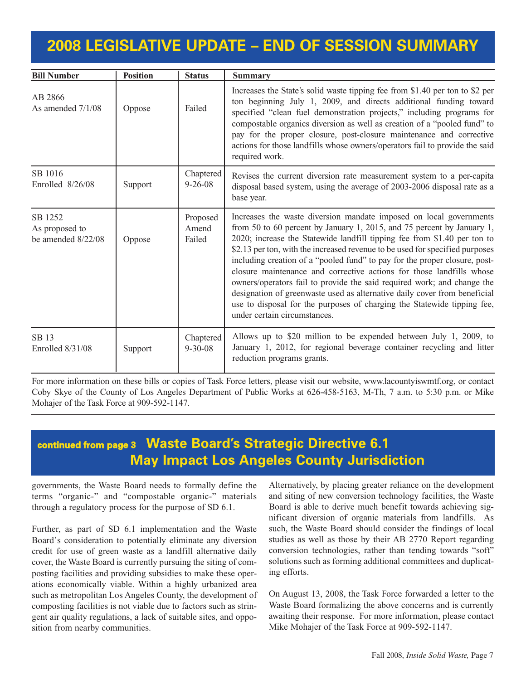### **2008 LEGISLATIVE UPDATE – END OF SESSION SUMMARY**

| <b>Bill Number</b>                              | <b>Position</b> | <b>Status</b>               | <b>Summary</b>                                                                                                                                                                                                                                                                                                                                                                                                                                                                                                                                                                                                                                                                                                                    |
|-------------------------------------------------|-----------------|-----------------------------|-----------------------------------------------------------------------------------------------------------------------------------------------------------------------------------------------------------------------------------------------------------------------------------------------------------------------------------------------------------------------------------------------------------------------------------------------------------------------------------------------------------------------------------------------------------------------------------------------------------------------------------------------------------------------------------------------------------------------------------|
| AB 2866<br>As amended $7/1/08$                  | Oppose          | Failed                      | Increases the State's solid waste tipping fee from \$1.40 per ton to \$2 per<br>ton beginning July 1, 2009, and directs additional funding toward<br>specified "clean fuel demonstration projects," including programs for<br>compostable organics diversion as well as creation of a "pooled fund" to<br>pay for the proper closure, post-closure maintenance and corrective<br>actions for those landfills whose owners/operators fail to provide the said<br>required work.                                                                                                                                                                                                                                                    |
| SB 1016<br>Enrolled $8/26/08$                   | Support         | Chaptered<br>$9 - 26 - 08$  | Revises the current diversion rate measurement system to a per-capita<br>disposal based system, using the average of 2003-2006 disposal rate as a<br>base year.                                                                                                                                                                                                                                                                                                                                                                                                                                                                                                                                                                   |
| SB 1252<br>As proposed to<br>be amended 8/22/08 | Oppose          | Proposed<br>Amend<br>Failed | Increases the waste diversion mandate imposed on local governments<br>from 50 to 60 percent by January 1, 2015, and 75 percent by January 1,<br>2020; increase the Statewide landfill tipping fee from \$1.40 per ton to<br>\$2.13 per ton, with the increased revenue to be used for specified purposes<br>including creation of a "pooled fund" to pay for the proper closure, post-<br>closure maintenance and corrective actions for those landfills whose<br>owners/operators fail to provide the said required work; and change the<br>designation of greenwaste used as alternative daily cover from beneficial<br>use to disposal for the purposes of charging the Statewide tipping fee,<br>under certain circumstances. |
| SB 13<br>Enrolled $8/31/08$                     | Support         | Chaptered<br>$9 - 30 - 08$  | Allows up to \$20 million to be expended between July 1, 2009, to<br>January 1, 2012, for regional beverage container recycling and litter<br>reduction programs grants.                                                                                                                                                                                                                                                                                                                                                                                                                                                                                                                                                          |

For more information on these bills or copies of Task Force letters, please visit our website[, www.lacountyiswmtf.org,](www.lacountyiswmtf.org) or contact Coby Skye of the County of Los Angeles Department of Public Works at 626-458-5163, M-Th, 7 a.m. to 5:30 p.m. or Mike Mohajer of the Task Force at 909-592-1147.

#### **continued from page <sup>3</sup> Waste Board's Strategic Directive 6.1 May Impact Los Angeles County Jurisdiction**

governments, the Waste Board needs to formally define the terms "organic-" and "compostable organic-" materials through a regulatory process for the purpose of SD 6.1.

Further, as part of SD 6.1 implementation and the Waste Board's consideration to potentially eliminate any diversion credit for use of green waste as a landfill alternative daily cover, the Waste Board is currently pursuing the siting of composting facilities and providing subsidies to make these operations economically viable. Within a highly urbanized area such as metropolitan Los Angeles County, the development of composting facilities is not viable due to factors such as stringent air quality regulations, a lack of suitable sites, and opposition from nearby communities.

Alternatively, by placing greater reliance on the development and siting of new conversion technology facilities, the Waste Board is able to derive much benefit towards achieving significant diversion of organic materials from landfills. As such, the Waste Board should consider the findings of local studies as well as those by their AB 2770 Report regarding conversion technologies, rather than tending towards "soft" solutions such as forming additional committees and duplicating efforts.

On August 13, 2008, the Task Force forwarded a letter to the Waste Board formalizing the above concerns and is currently awaiting their response. For more information, please contact Mike Mohajer of the Task Force at 909-592-1147.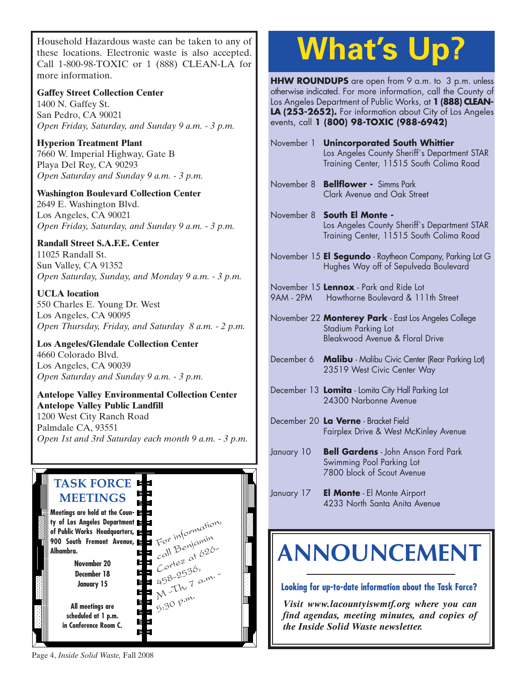Household Hazardous waste can be taken to any of [these locations. Electronic waste is also accepted.](http://www.lacity.org/san/solid_resources/special/hhw/safe_centers/index.htm) Call 1-800-98-TOXIC or 1 (888) CLEAN-LA for more information.

**Gaffey Street Collection Center** 1400 N. Gaffey St. San Pedro, CA 90021 *Open Friday, Saturday, and Sunday 9 a.m. - 3 p.m.*

**Hyperion Treatment Plant** 7660 W. Imperial Highway, Gate B Playa Del Rey, CA 90293 *Open Saturday and Sunday 9 a.m. - 3 p.m.*

**Washington Boulevard Collection Center** 2649 E. Washington Blvd. Los Angeles, CA 90021 *Open Friday, Saturday, and Sunday 9 a.m. - 3 p.m.*

#### **Randall Street S.A.F.E. Center**

11025 Randall St. Sun Valley, CA 91352 *Open Saturday, Sunday, and Monday 9 a.m. - 3 p.m.*

**UCLA location** 550 Charles E. Young Dr. West Los Angeles, CA 90095 *Open Thursday, Friday, and Saturday 8 a.m. - 2 p.m.*

**Los Angeles/Glendale Collection Center** 4660 Colorado Blvd. Los Angeles, CA 90039 *Open Saturday and Sunday 9 a.m. - 3 p.m.*

#### **Antelope Valley Environmental Collection Center Antelope Valley Public Landfill** 1200 West City Ranch Road Palmdale CA, 93551 *[Open 1st and 3rd Saturday each month 9 a.m. - 3 p.m.](http://ladpw.org/epd/avecc/index.cfm)*



# **What's Up?**

**HHW ROUNDUPS** are open from 9 a.m. to 3 p.m. unless otherwise indicated. For more information, call the County of Los Angeles Department of Public Works, at **1 (888) CLEAN-LA (253-2652).** For information about City of Los Angeles events, call **1 (800) 98-TOXIC (988-6942)**

- November 1 **Unincorporated South Whittier** Los Angeles County Sheriff`s Department STAR Training Center, 11515 South Colima Road
- November 8 **Bellflower -** Simms Park Clark Avenue and Oak Street
- November 8 **South El Monte -** Los Angeles County Sheriff`s Department STAR Training Center, 11515 South Colima Road
- November 15 **El Segundo** Raytheon Company, Parking Lot G Hughes Way off of Sepulveda Boulevard
- November 15 **Lennox** Park and Ride Lot [9AM - 2PM Hawthorne Boulevard & 111th Street](http://ladpw.org/general/enotify/Calendar_Template/Calendar.aspx)

November 22 **Monterey Park** - East Los Angeles College Stadium Parking Lot Bleakwood Avenue & Floral Drive

- December 6 **Malibu** Malibu Civic Center (Rear Parking Lot) 23519 West Civic Center Way
- December 13 **Lomita** Lomita City Hall Parking Lot 24300 Narbonne Avenue
- December 20 **La Verne** Bracket Field Fairplex Drive & West McKinley Avenue
- January 10 **Bell Gardens** John Anson Ford Park Swimming Pool Parking Lot 7800 block of Scout Avenue
- January 17 **El Monte** El Monte Airport 4233 North Santa Anita Avenue

## **[ANNOUNCEMENT](www.lacountyiswmtf.org,)**

**Looking for up-to-date information about the Task Force?**

*Visit www.lacountyiswmtf.org where you can find agendas, meeting minutes, and copies of the Inside Solid Waste newsletter.*

Page 4, *Inside Solid Waste,* Fall 2008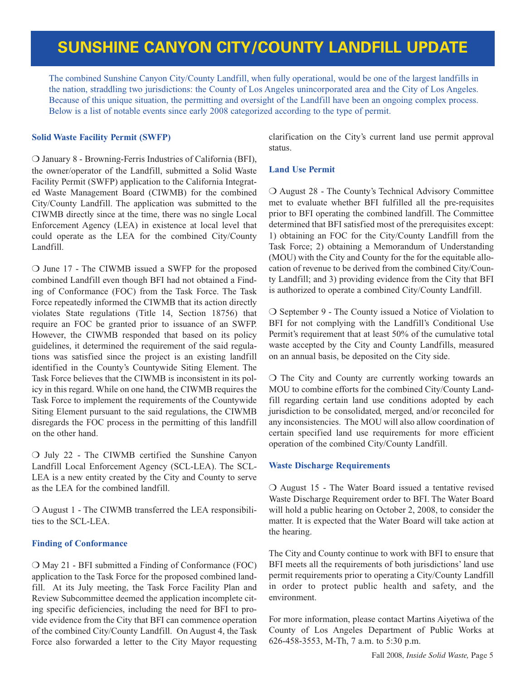### **SUNSHINE CANYON CITY/COUNTY LANDFILL UPDATE**

The combined Sunshine Canyon City/County Landfill, when fully operational, would be one of the largest landfills in the nation, straddling two jurisdictions: the County of Los Angeles unincorporated area and the City of Los Angeles. Because of this unique situation, the permitting and oversight of the Landfill have been an ongoing complex process. Below is a list of notable events since early 2008 categorized according to the type of permit.

#### **Solid Waste Facility Permit (SWFP)**

❍ January 8 - Browning-Ferris Industries of California (BFI), the owner/operator of the Landfill, submitted a Solid Waste Facility Permit (SWFP) application to the California Integrated Waste Management Board (CIWMB) for the combined City/County Landfill. The application was submitted to the CIWMB directly since at the time, there was no single Local Enforcement Agency (LEA) in existence at local level that could operate as the LEA for the combined City/County Landfill.

❍ June 17 - The CIWMB issued a SWFP for the proposed combined Landfill even though BFI had not obtained a Finding of Conformance (FOC) from the Task Force. The Task Force repeatedly informed the CIWMB that its action directly violates State regulations (Title 14, Section 18756) that require an FOC be granted prior to issuance of an SWFP. However, the CIWMB responded that based on its policy guidelines, it determined the requirement of the said regulations was satisfied since the project is an existing landfill identified in the County's Countywide Siting Element. The Task Force believes that the CIWMB is inconsistent in its policy in this regard. While on one hand, the CIWMB requires the Task Force to implement the requirements of the Countywide Siting Element pursuant to the said regulations, the CIWMB disregards the FOC process in the permitting of this landfill on the other hand.

❍ July 22 - The CIWMB certified the Sunshine Canyon Landfill Local Enforcement Agency (SCL-LEA). The SCL-LEA is a new entity created by the City and County to serve as the LEA for the combined landfill.

❍ August 1 - The CIWMB transferred the LEA responsibilities to the SCL-LEA.

#### **Finding of Conformance**

❍ May 21 - BFI submitted a Finding of Conformance (FOC) application to the Task Force for the proposed combined landfill. At its July meeting, the Task Force Facility Plan and Review Subcommittee deemed the application incomplete citing specific deficiencies, including the need for BFI to provide evidence from the City that BFI can commence operation of the combined City/County Landfill. On August 4, the Task Force also forwarded a letter to the City Mayor requesting clarification on the City's current land use permit approval status.

#### **Land Use Permit**

❍ August 28 - The County's Technical Advisory Committee met to evaluate whether BFI fulfilled all the pre-requisites prior to BFI operating the combined landfill. The Committee determined that BFI satisfied most of the prerequisites except: 1) obtaining an FOC for the City/County Landfill from the Task Force; 2) obtaining a Memorandum of Understanding (MOU) with the City and County for the for the equitable allocation of revenue to be derived from the combined City/County Landfill; and 3) providing evidence from the City that BFI is authorized to operate a combined City/County Landfill.

❍ September 9 - The County issued a Notice of Violation to BFI for not complying with the Landfill's Conditional Use Permit's requirement that at least 50% of the cumulative total waste accepted by the City and County Landfills, measured on an annual basis, be deposited on the City side.

❍ The City and County are currently working towards an MOU to combine efforts for the combined City/County Landfill regarding certain land use conditions adopted by each jurisdiction to be consolidated, merged, and/or reconciled for any inconsistencies. The MOU will also allow coordination of certain specified land use requirements for more efficient operation of the combined City/County Landfill.

#### **Waste Discharge Requirements**

❍ August 15 - The Water Board issued a tentative revised Waste Discharge Requirement order to BFI. The Water Board will hold a public hearing on October 2, 2008, to consider the matter. It is expected that the Water Board will take action at the hearing.

The City and County continue to work with BFI to ensure that BFI meets all the requirements of both jurisdictions' land use permit requirements prior to operating a City/County Landfill in order to protect public health and safety, and the environment.

For more information, please contact Martins Aiyetiwa of the County of Los Angeles Department of Public Works at 626-458-3553, M-Th, 7 a.m. to 5:30 p.m.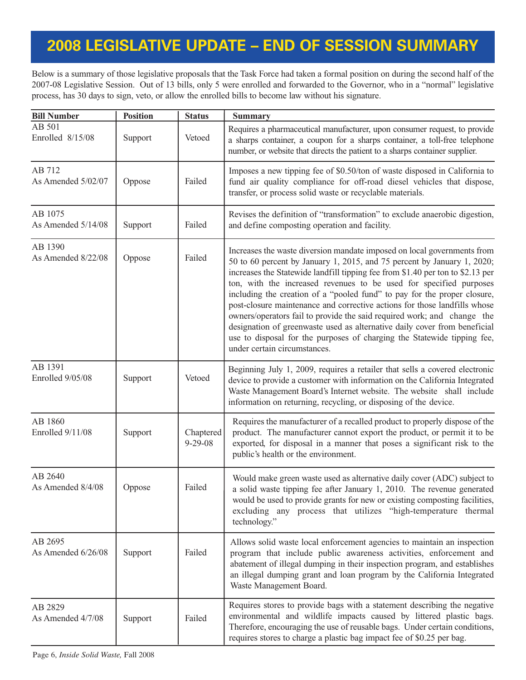## **2008 LEGISLATIVE UPDATE – END OF SESSION SUMMARY**

Below is a summary of those legislative proposals that the Task Force had taken a formal position on during the second half of the 2007-08 Legislative Session. Out of 13 bills, only 5 were enrolled and forwarded to the Governor, who in a "normal" legislative process, has 30 days to sign, veto, or allow the enrolled bills to become law without his signature.

| <b>Bill Number</b>            | <b>Position</b> | <b>Status</b>              | <b>Summary</b>                                                                                                                                                                                                                                                                                                                                                                                                                                                                                                                                                                                                                                                                                                                         |
|-------------------------------|-----------------|----------------------------|----------------------------------------------------------------------------------------------------------------------------------------------------------------------------------------------------------------------------------------------------------------------------------------------------------------------------------------------------------------------------------------------------------------------------------------------------------------------------------------------------------------------------------------------------------------------------------------------------------------------------------------------------------------------------------------------------------------------------------------|
| AB 501<br>Enrolled 8/15/08    | Support         | Vetoed                     | Requires a pharmaceutical manufacturer, upon consumer request, to provide<br>a sharps container, a coupon for a sharps container, a toll-free telephone<br>number, or website that directs the patient to a sharps container supplier.                                                                                                                                                                                                                                                                                                                                                                                                                                                                                                 |
| AB 712<br>As Amended 5/02/07  | Oppose          | Failed                     | Imposes a new tipping fee of \$0.50/ton of waste disposed in California to<br>fund air quality compliance for off-road diesel vehicles that dispose,<br>transfer, or process solid waste or recyclable materials.                                                                                                                                                                                                                                                                                                                                                                                                                                                                                                                      |
| AB 1075<br>As Amended 5/14/08 | Support         | Failed                     | Revises the definition of "transformation" to exclude anaerobic digestion,<br>and define composting operation and facility.                                                                                                                                                                                                                                                                                                                                                                                                                                                                                                                                                                                                            |
| AB 1390<br>As Amended 8/22/08 | Oppose          | Failed                     | Increases the waste diversion mandate imposed on local governments from<br>50 to 60 percent by January 1, 2015, and 75 percent by January 1, 2020;<br>increases the Statewide landfill tipping fee from \$1.40 per ton to \$2.13 per<br>ton, with the increased revenues to be used for specified purposes<br>including the creation of a "pooled fund" to pay for the proper closure,<br>post-closure maintenance and corrective actions for those landfills whose<br>owners/operators fail to provide the said required work; and change the<br>designation of greenwaste used as alternative daily cover from beneficial<br>use to disposal for the purposes of charging the Statewide tipping fee,<br>under certain circumstances. |
| AB 1391<br>Enrolled 9/05/08   | Support         | Vetoed                     | Beginning July 1, 2009, requires a retailer that sells a covered electronic<br>device to provide a customer with information on the California Integrated<br>Waste Management Board's Internet website. The website shall include<br>information on returning, recycling, or disposing of the device.                                                                                                                                                                                                                                                                                                                                                                                                                                  |
| AB 1860<br>Enrolled 9/11/08   | Support         | Chaptered<br>$9 - 29 - 08$ | Requires the manufacturer of a recalled product to properly dispose of the<br>product. The manufacturer cannot export the product, or permit it to be<br>exported, for disposal in a manner that poses a significant risk to the<br>public's health or the environment.                                                                                                                                                                                                                                                                                                                                                                                                                                                                |
| AB 2640<br>As Amended 8/4/08  | Oppose          | Failed                     | Would make green waste used as alternative daily cover (ADC) subject to<br>a solid waste tipping fee after January 1, 2010. The revenue generated<br>would be used to provide grants for new or existing composting facilities,<br>excluding any process that utilizes "high-temperature thermal<br>technology."                                                                                                                                                                                                                                                                                                                                                                                                                       |
| AB 2695<br>As Amended 6/26/08 | Support         | Failed                     | Allows solid waste local enforcement agencies to maintain an inspection<br>program that include public awareness activities, enforcement and<br>abatement of illegal dumping in their inspection program, and establishes<br>an illegal dumping grant and loan program by the California Integrated<br>Waste Management Board.                                                                                                                                                                                                                                                                                                                                                                                                         |
| AB 2829<br>As Amended 4/7/08  | Support         | Failed                     | Requires stores to provide bags with a statement describing the negative<br>environmental and wildlife impacts caused by littered plastic bags.<br>Therefore, encouraging the use of reusable bags. Under certain conditions,<br>requires stores to charge a plastic bag impact fee of \$0.25 per bag.                                                                                                                                                                                                                                                                                                                                                                                                                                 |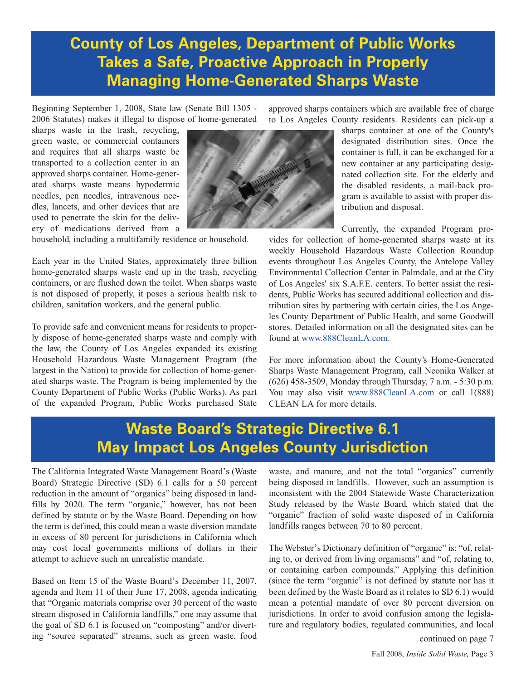### **County of Los Angeles, Department of Public Works Takes a Safe, Proactive Approach in Properly Managing Home-Generated Sharps Waste**

Beginning September 1, 2008, State law (Senate Bill 1305 - 2006 Statutes) makes it illegal to dispose of home-generated

sharps waste in the trash, recycling, green waste, or commercial containers and requires that all sharps waste be transported to a collection center in an approved sharps container. Home-generated sharps waste means hypodermic needles, pen needles, intravenous needles, lancets, and other devices that are used to penetrate the skin for the delivery of medications derived from a

household, including a multifamily residence or household.

Each year in the United States, approximately three billion home-generated sharps waste end up in the trash, recycling containers, or are flushed down the toilet. When sharps waste is not disposed of properly, it poses a serious health risk to children, sanitation workers, and the general public.

To provide safe and convenient means for residents to properly dispose of home-generated sharps waste and comply with the law, the County of Los Angeles expanded its existing Household Hazardous Waste Management Program (the largest in the Nation) to provide for collection of home-generated sharps waste. The Program is being implemented by the County Department of Public Works (Public Works). As part of the expanded Program, Public Works purchased State approved sharps containers which are available free of charge to Los Angeles County residents. Residents can pick-up a

> sharps container at one of the County's designated distribution sites. Once the container is full, it can be exchanged for a new container at any participating designated collection site. For the elderly and the disabled residents, a mail-back program is available to assist with proper distribution and disposal.

Currently, the expanded Program provides for collection of home-generated sharps waste at its weekly Household Hazardous Waste Collection Roundup events throughout Los Angeles County, the Antelope Valley Environmental Collection Center in Palmdale, and at the City of Los Angeles' six S.A.F.E. centers. To better assist the residents, Public Works has secured additional collection and distribution sites by partnering with certain cities, the Los Angeles County Department of Public Health, and some Goodwill stores. Detailed information on all the designated sites can be found a[t www.888CleanLA.com.](http://ladpw.org/epd/hhw/sharps/sites.cfm) 

For more information about the County's Home-Generated Sharps Waste Management Program, call Neonika Walker at (626) 458-3509, Monday through Thursday, 7 a.m. - 5:30 p.m. You may also visit [www.888CleanLA.com](http://ladpw.org/epd/hhw/sharps/index.cfm) or call 1(888) CLEAN LA for more details.

### **Waste Board's Strategic Directive 6.1 May Impact Los Angeles County Jurisdiction**

The California Integrated Waste Management Board's (Waste Board) Strategic Directive (SD) 6.1 calls for a 50 percent reduction in the amount of "organics" being disposed in landfills by 2020. The term "organic," however, has not been defined by statute or by the Waste Board. Depending on how the term is defined, this could mean a waste diversion mandate in excess of 80 percent for jurisdictions in California which may cost local governments millions of dollars in their attempt to achieve such an unrealistic mandate.

Based on Item 15 of the Waste Board's December 11, 2007, agenda and Item 11 of their June 17, 2008, agenda indicating that "Organic materials comprise over 30 percent of the waste stream disposed in California landfills," one may assume that the goal of SD 6.1 is focused on "composting" and/or diverting "source separated" streams, such as green waste, food waste, and manure, and not the total "organics" currently being disposed in landfills. However, such an assumption is inconsistent with the 2004 Statewide Waste Characterization Study released by the Waste Board, which stated that the "organic" fraction of solid waste disposed of in California landfills ranges between 70 to 80 percent.

The Webster's Dictionary definition of "organic" is: "of, relating to, or derived from living organisms" and "of, relating to, or containing carbon compounds." Applying this definition (since the term "organic" is not defined by statute nor has it been defined by the Waste Board as it relates to SD 6.1) would mean a potential mandate of over 80 percent diversion on jurisdictions. In order to avoid confusion among the legislature and regulatory bodies, regulated communities, and local